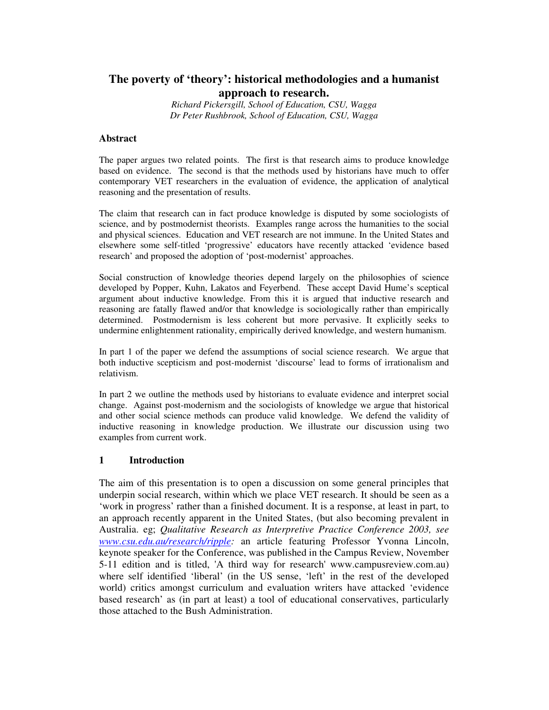# **The poverty of 'theory': historical methodologies and a humanist approach to research.**

*Richard Pickersgill, School of Education, CSU, Wagga Dr Peter Rushbrook, School of Education, CSU, Wagga*

#### **Abstract**

The paper argues two related points. The first is that research aims to produce knowledge based on evidence. The second is that the methods used by historians have much to offer contemporary VET researchers in the evaluation of evidence, the application of analytical reasoning and the presentation of results.

The claim that research can in fact produce knowledge is disputed by some sociologists of science, and by postmodernist theorists. Examples range across the humanities to the social and physical sciences. Education and VET research are not immune. In the United States and elsewhere some self-titled 'progressive' educators have recently attacked 'evidence based research' and proposed the adoption of 'post-modernist' approaches.

Social construction of knowledge theories depend largely on the philosophies of science developed by Popper, Kuhn, Lakatos and Feyerbend. These accept David Hume's sceptical argument about inductive knowledge. From this it is argued that inductive research and reasoning are fatally flawed and/or that knowledge is sociologically rather than empirically determined. Postmodernism is less coherent but more pervasive. It explicitly seeks to undermine enlightenment rationality, empirically derived knowledge, and western humanism.

In part 1 of the paper we defend the assumptions of social science research. We argue that both inductive scepticism and post-modernist 'discourse' lead to forms of irrationalism and relativism.

In part 2 we outline the methods used by historians to evaluate evidence and interpret social change. Against post-modernism and the sociologists of knowledge we argue that historical and other social science methods can produce valid knowledge. We defend the validity of inductive reasoning in knowledge production. We illustrate our discussion using two examples from current work.

#### **1 Introduction**

The aim of this presentation is to open a discussion on some general principles that underpin social research, within which we place VET research. It should be seen as a 'work in progress' rather than a finished document. It is a response, at least in part, to an approach recently apparent in the United States, (but also becoming prevalent in Australia. eg; *Qualitative Research as Interpretive Practice Conference 2003, see www.csu.edu.au/research/ripple:* an article featuring Professor Yvonna Lincoln, keynote speaker for the Conference, was published in the Campus Review, November 5-11 edition and is titled, 'A third way for research'www.campusreview.com.au) where self identified 'liberal' (in the US sense, 'left' in the rest of the developed world) critics amongst curriculum and evaluation writers have attacked 'evidence based research' as (in part at least) a tool of educational conservatives, particularly those attached to the Bush Administration.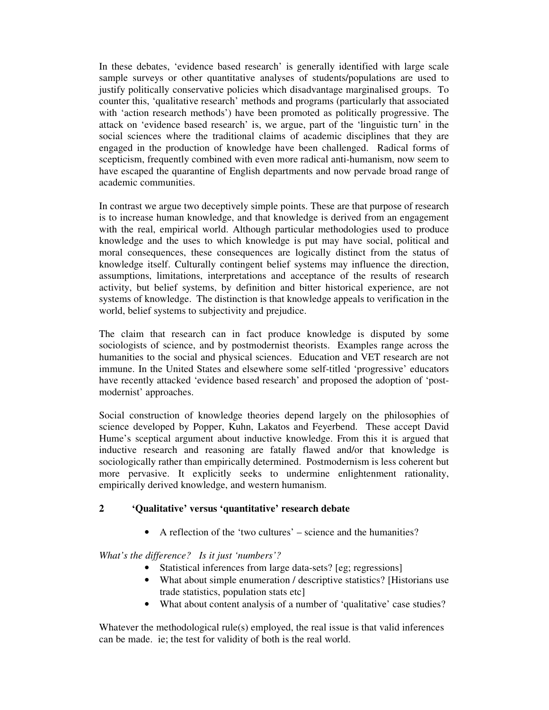In these debates, 'evidence based research' is generally identified with large scale sample surveys or other quantitative analyses of students/populations are used to justify politically conservative policies which disadvantage marginalised groups. To counter this, 'qualitative research' methods and programs (particularly that associated with 'action research methods') have been promoted as politically progressive. The attack on 'evidence based research' is, we argue, part of the 'linguistic turn' in the social sciences where the traditional claims of academic disciplines that they are engaged in the production of knowledge have been challenged. Radical forms of scepticism, frequently combined with even more radical anti-humanism, now seem to have escaped the quarantine of English departments and now pervade broad range of academic communities.

In contrast we argue two deceptively simple points. These are that purpose of research is to increase human knowledge, and that knowledge is derived from an engagement with the real, empirical world. Although particular methodologies used to produce knowledge and the uses to which knowledge is put may have social, political and moral consequences, these consequences are logically distinct from the status of knowledge itself. Culturally contingent belief systems may influence the direction, assumptions, limitations, interpretations and acceptance of the results of research activity, but belief systems, by definition and bitter historical experience, are not systems of knowledge. The distinction is that knowledge appeals to verification in the world, belief systems to subjectivity and prejudice.

The claim that research can in fact produce knowledge is disputed by some sociologists of science, and by postmodernist theorists. Examples range across the humanities to the social and physical sciences. Education and VET research are not immune. In the United States and elsewhere some self-titled 'progressive' educators have recently attacked 'evidence based research' and proposed the adoption of 'postmodernist' approaches.

Social construction of knowledge theories depend largely on the philosophies of science developed by Popper, Kuhn, Lakatos and Feyerbend. These accept David Hume's sceptical argument about inductive knowledge. From this it is argued that inductive research and reasoning are fatally flawed and/or that knowledge is sociologically rather than empirically determined. Postmodernism is less coherent but more pervasive. It explicitly seeks to undermine enlightenment rationality, empirically derived knowledge, and western humanism.

### **2 'Qualitative' versus 'quantitative' research debate**

• A reflection of the 'two cultures' – science and the humanities?

*What's the difference? Is it just 'numbers'?*

- Statistical inferences from large data-sets? [eg; regressions]
- What about simple enumeration / descriptive statistics? [Historians use trade statistics, population stats etc]
- What about content analysis of a number of 'qualitative' case studies?

Whatever the methodological rule(s) employed, the real issue is that valid inferences can be made. ie; the test for validity of both is the real world.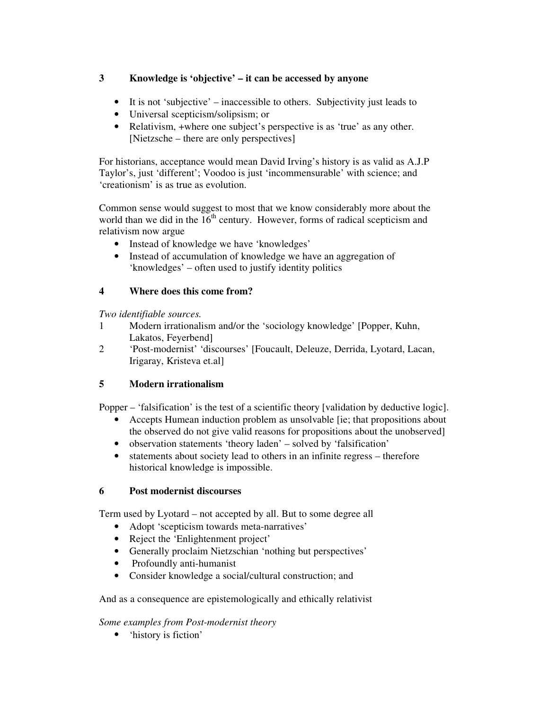## **3 Knowledge is 'objective' – it can be accessed by anyone**

- It is not 'subjective' inaccessible to others. Subjectivity just leads to
- Universal scepticism/solipsism; or
- Relativism, +where one subject's perspective is as 'true' as any other. [Nietzsche – there are only perspectives]

For historians, acceptance would mean David Irving's history is as valid as A.J.P Taylor's, just 'different'; Voodoo is just 'incommensurable' with science; and 'creationism' is as true as evolution.

Common sense would suggest to most that we know considerably more about the world than we did in the 16<sup>th</sup> century. However, forms of radical scepticism and relativism now argue

- Instead of knowledge we have 'knowledges'
- Instead of accumulation of knowledge we have an aggregation of 'knowledges' – often used to justify identity politics

## **4 Where does this come from?**

*Two identifiable sources.*

- 1 Modern irrationalism and/or the 'sociology knowledge' [Popper, Kuhn, Lakatos, Feyerbend]
- 2 'Post-modernist' 'discourses' [Foucault, Deleuze, Derrida, Lyotard, Lacan, Irigaray, Kristeva et.al]

# **5 Modern irrationalism**

Popper – 'falsification' is the test of a scientific theory [validation by deductive logic].

- Accepts Humean induction problem as unsolvable [ie; that propositions about the observed do not give valid reasons for propositions about the unobserved]
- observation statements 'theory laden' solved by 'falsification'
- statements about society lead to others in an infinite regress therefore historical knowledge is impossible.

# **6 Post modernist discourses**

Term used by Lyotard – not accepted by all. But to some degree all

- Adopt 'scepticism towards meta-narratives'
- Reject the 'Enlightenment project'
- Generally proclaim Nietzschian 'nothing but perspectives'
- Profoundly anti-humanist
- Consider knowledge a social/cultural construction; and

# And as a consequence are epistemologically and ethically relativist

# *Some examples from Post-modernist theory*

• 'history is fiction'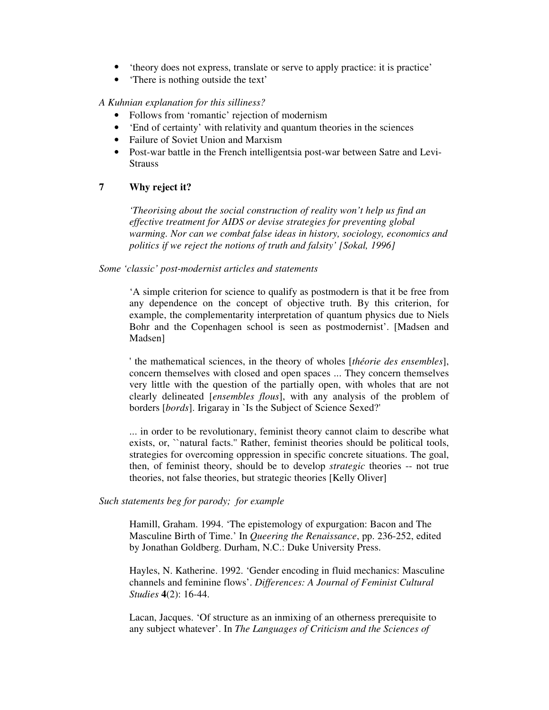- 'theory does not express, translate or serve to apply practice: it is practice'
- 'There is nothing outside the text'

#### *A Kuhnian explanation for this silliness?*

- Follows from 'romantic' rejection of modernism
- 'End of certainty' with relativity and quantum theories in the sciences
- Failure of Soviet Union and Marxism
- Post-war battle in the French intelligentsia post-war between Satre and Levi-**Strauss**

#### **7 Why reject it?**

*'Theorising about the social construction of reality won't help us find an effective treatment for AIDS or devise strategies for preventing global warming. Nor can we combat false ideas in history, sociology, economics and politics if we reject the notions of truth and falsity' [Sokal, 1996]*

#### *Some 'classic' post-modernist articles and statements*

'A simple criterion for science to qualify as postmodern is that it be free from any dependence on the concept of objective truth. By this criterion, for example, the complementarity interpretation of quantum physics due to Niels Bohr and the Copenhagen school is seen as postmodernist'. [Madsen and Madsen]

'the mathematical sciences, in the theory of wholes [*théorie des ensembles*], concern themselves with closed and open spaces ... They concern themselves very little with the question of the partially open, with wholes that are not clearly delineated [*ensembles flous*], with any analysis of the problem of borders [*bords*]. Irigaray in `Is the Subject of Science Sexed?'

... in order to be revolutionary, feminist theory cannot claim to describe what exists, or, "natural facts." Rather, feminist theories should be political tools, strategies for overcoming oppression in specific concrete situations. The goal, then, of feminist theory, should be to develop *strategic* theories -- not true theories, not false theories, but strategic theories [Kelly Oliver]

*Such statements beg for parody; for example*

Hamill, Graham. 1994. 'The epistemology of expurgation: Bacon and The Masculine Birth of Time.' In *Queering the Renaissance*, pp. 236-252, edited by Jonathan Goldberg. Durham, N.C.: Duke University Press.

Hayles, N. Katherine. 1992. 'Gender encoding in fluid mechanics: Masculine channels and feminine flows'. *Differences: A Journal of Feminist Cultural Studies* **4**(2): 16-44.

Lacan, Jacques. 'Of structure as an inmixing of an otherness prerequisite to any subject whatever'. In *The Languages of Criticism and the Sciences of*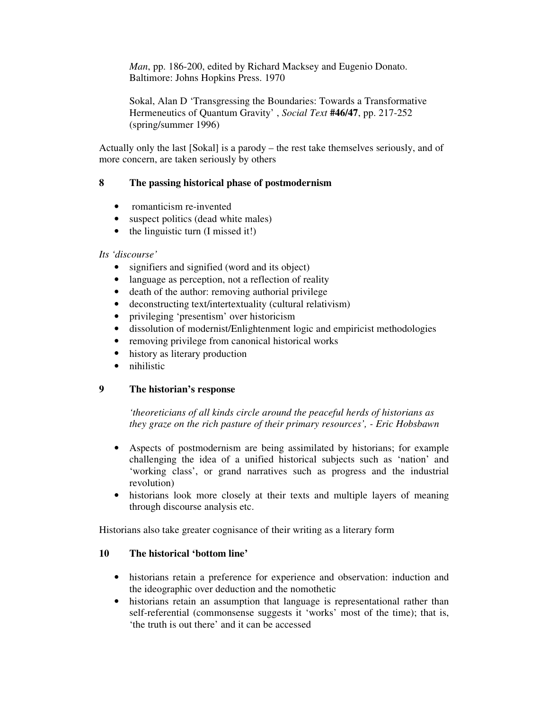*Man*, pp. 186-200, edited by Richard Macksey and Eugenio Donato. Baltimore: Johns Hopkins Press. 1970

Sokal, Alan D 'Transgressing the Boundaries: Towards a Transformative Hermeneutics of Quantum Gravity' , *Social Text* **#46/47**, pp. 217-252 (spring/summer 1996)

Actually only the last [Sokal] is a parody – the rest take themselves seriously, and of more concern, are taken seriously by others

## **8 The passing historical phase of postmodernism**

- romanticism re-invented
- suspect politics (dead white males)
- the linguistic turn (I missed it!)

#### *Its 'discourse'*

- signifiers and signified (word and its object)
- language as perception, not a reflection of reality
- death of the author: removing authorial privilege
- deconstructing text/intertextuality (cultural relativism)
- privileging 'presentism' over historicism
- dissolution of modernist/Enlightenment logic and empiricist methodologies
- removing privilege from canonical historical works
- history as literary production
- nihilistic

#### **9 The historian's response**

*'theoreticians of all kinds circle around the peaceful herds of historians as they graze on the rich pasture of their primary resources', - Eric Hobsbawn*

- Aspects of postmodernism are being assimilated by historians; for example challenging the idea of a unified historical subjects such as 'nation' and 'working class', or grand narratives such as progress and the industrial revolution)
- historians look more closely at their texts and multiple layers of meaning through discourse analysis etc.

Historians also take greater cognisance of their writing as a literary form

#### **10 The historical 'bottom line'**

- historians retain a preference for experience and observation: induction and the ideographic over deduction and the nomothetic
- historians retain an assumption that language is representational rather than self-referential (commonsense suggests it 'works' most of the time); that is, 'the truth is out there' and it can be accessed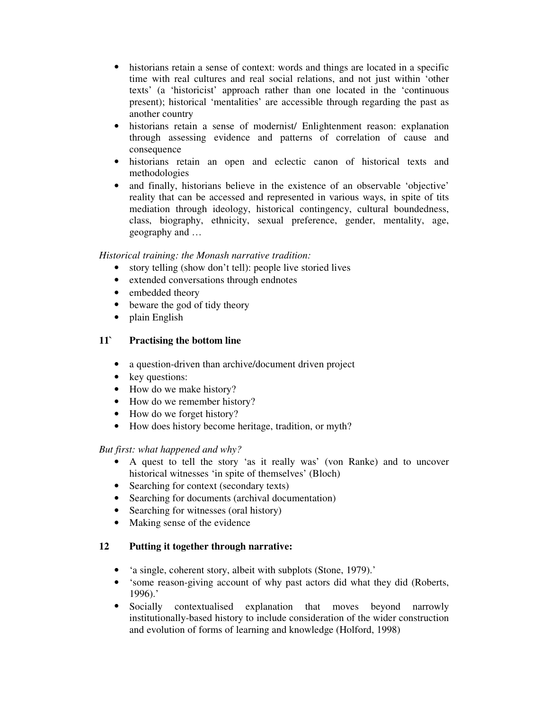- historians retain a sense of context: words and things are located in a specific time with real cultures and real social relations, and not just within 'other texts' (a 'historicist' approach rather than one located in the 'continuous present); historical 'mentalities' are accessible through regarding the past as another country
- historians retain a sense of modernist/ Enlightenment reason: explanation through assessing evidence and patterns of correlation of cause and consequence
- historians retain an open and eclectic canon of historical texts and methodologies
- and finally, historians believe in the existence of an observable 'objective' reality that can be accessed and represented in various ways, in spite of tits mediation through ideology, historical contingency, cultural boundedness, class, biography, ethnicity, sexual preference, gender, mentality, age, geography and …

### *Historical training: the Monash narrative tradition:*

- story telling (show don't tell): people live storied lives
- extended conversations through endnotes
- embedded theory
- beware the god of tidy theory
- plain English

## **11` Practising the bottom line**

- a question-driven than archive/document driven project
- key questions:
- How do we make history?
- How do we remember history?
- How do we forget history?
- How does history become heritage, tradition, or myth?

## *But first: what happened and why?*

- A quest to tell the story 'as it really was' (von Ranke) and to uncover historical witnesses 'in spite of themselves' (Bloch)
- Searching for context (secondary texts)
- Searching for documents (archival documentation)
- Searching for witnesses (oral history)
- Making sense of the evidence

## **12 Putting it together through narrative:**

- 'a single, coherent story, albeit with subplots (Stone, 1979).'
- 'some reason-giving account of why past actors did what they did (Roberts, 1996).'
- Socially contextualised explanation that moves beyond narrowly institutionally-based history to include consideration of the wider construction and evolution of forms of learning and knowledge (Holford, 1998)